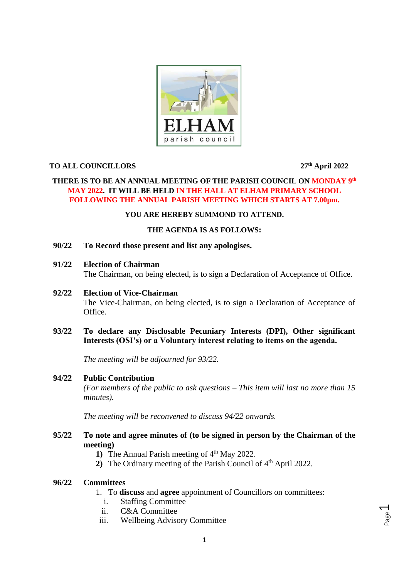

## **TO ALL COUNCILLORS 27th April 2022**

## **THERE IS TO BE AN ANNUAL MEETING OF THE PARISH COUNCIL ON MONDAY 9th MAY 2022. IT WILL BE HELD IN THE HALL AT ELHAM PRIMARY SCHOOL FOLLOWING THE ANNUAL PARISH MEETING WHICH STARTS AT 7.00pm.**

## **YOU ARE HEREBY SUMMOND TO ATTEND.**

## **THE AGENDA IS AS FOLLOWS:**

- **90/22 To Record those present and list any apologises.**
- **91/22 Election of Chairman**

The Chairman, on being elected, is to sign a Declaration of Acceptance of Office.

**92/22 Election of Vice-Chairman**

The Vice-Chairman, on being elected, is to sign a Declaration of Acceptance of Office.

**93/22 To declare any Disclosable Pecuniary Interests (DPI), Other significant Interests (OSI's) or a Voluntary interest relating to items on the agenda.**

*The meeting will be adjourned for 93/22.*

#### **94/22 Public Contribution**

*(For members of the public to ask questions – This item will last no more than 15 minutes).*

*The meeting will be reconvened to discuss 94/22 onwards.*

- **95/22 To note and agree minutes of (to be signed in person by the Chairman of the meeting)**
	- 1) The Annual Parish meeting of 4<sup>th</sup> May 2022.
	- 2) The Ordinary meeting of the Parish Council of 4<sup>th</sup> April 2022.

## **96/22 Committees**

- 1. To **discuss** and **agree** appointment of Councillors on committees:
	- i. Staffing Committee
- ii. C&A Committee
- iii. Wellbeing Advisory Committee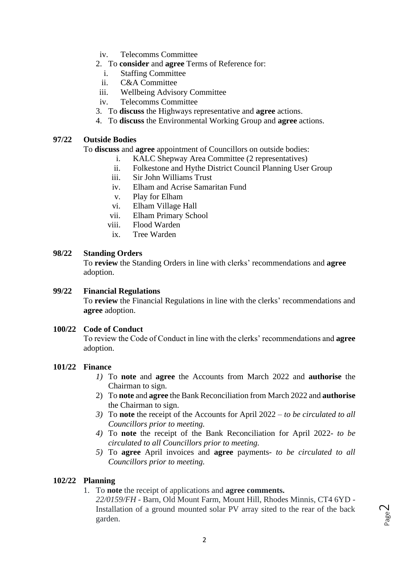- iv. Telecomms Committee
- 2. To **consider** and **agree** Terms of Reference for:
	- i. Staffing Committee
	- ii. C&A Committee
- iii. Wellbeing Advisory Committee
- iv. Telecomms Committee
- 3. To **discuss** the Highways representative and **agree** actions.
- 4. To **discuss** the Environmental Working Group and **agree** actions.

#### **97/22 Outside Bodies**

To **discuss** and **agree** appointment of Councillors on outside bodies:

- i. KALC Shepway Area Committee (2 representatives)
- ii. Folkestone and Hythe District Council Planning User Group
- iii. Sir John Williams Trust
- iv. Elham and Acrise Samaritan Fund
- v. Play for Elham
- vi. Elham Village Hall
- vii. Elham Primary School
- viii. Flood Warden
- ix. Tree Warden

#### **98/22 Standing Orders**

To **review** the Standing Orders in line with clerks' recommendations and **agree** adoption.

#### **99/22 Financial Regulations**

To **review** the Financial Regulations in line with the clerks' recommendations and **agree** adoption.

### **100/22 Code of Conduct**

To review the Code of Conduct in line with the clerks' recommendations and **agree**  adoption.

## **101/22 Finance**

- *1)* To **note** and **agree** the Accounts from March 2022 and **authorise** the Chairman to sign.
- 2) To **note** and **agree** the Bank Reconciliation from March 2022 and **authorise** the Chairman to sign.
- *3)* To **note** the receipt of the Accounts for April 2022 *to be circulated to all Councillors prior to meeting.*
- *4)* To **note** the receipt of the Bank Reconciliation for April 2022- *to be circulated to all Councillors prior to meeting.*
- *5)* To **agree** April invoices and **agree** payments- *to be circulated to all Councillors prior to meeting.*

### **102/22 Planning**

1. To **note** the receipt of applications and **agree comments.**

*22/0159/FH* - Barn, Old Mount Farm, Mount Hill, Rhodes Minnis, CT4 6YD - Installation of a ground mounted solar PV array sited to the rear of the back garden.